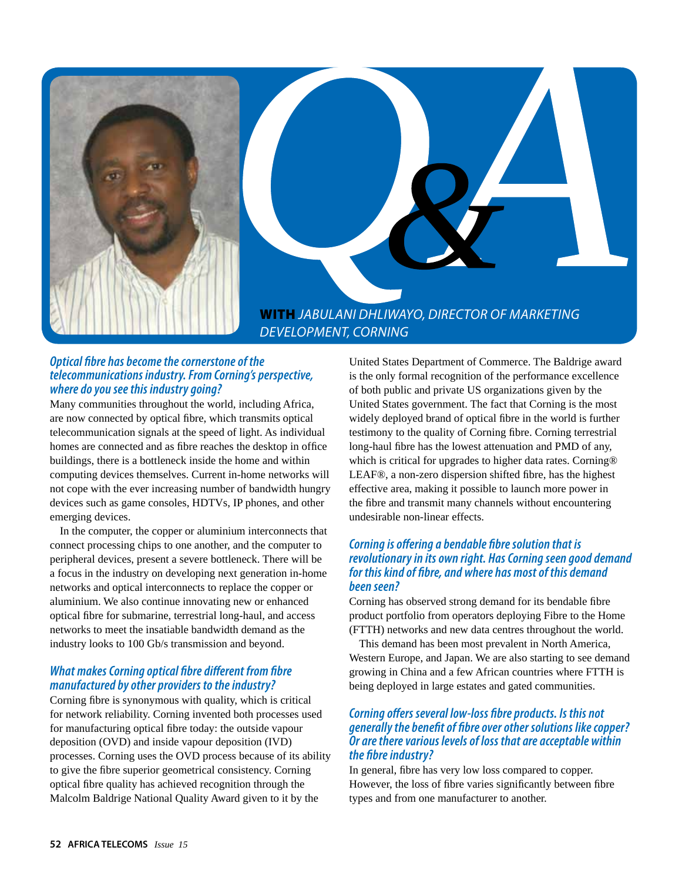

### *Optical fibre has become the cornerstone of the telecommunications industry. From Corning's perspective, where do you see this industry going?*

Many communities throughout the world, including Africa, are now connected by optical fibre, which transmits optical telecommunication signals at the speed of light. As individual homes are connected and as fibre reaches the desktop in office buildings, there is a bottleneck inside the home and within computing devices themselves. Current in-home networks will not cope with the ever increasing number of bandwidth hungry devices such as game consoles, HDTVs, IP phones, and other emerging devices.

In the computer, the copper or aluminium interconnects that connect processing chips to one another, and the computer to peripheral devices, present a severe bottleneck. There will be a focus in the industry on developing next generation in-home networks and optical interconnects to replace the copper or aluminium. We also continue innovating new or enhanced optical fibre for submarine, terrestrial long-haul, and access networks to meet the insatiable bandwidth demand as the industry looks to 100 Gb/s transmission and beyond.

# *What makes Corning optical fibre different from fibre manufactured by other providers to the industry?*

Corning fibre is synonymous with quality, which is critical for network reliability. Corning invented both processes used for manufacturing optical fibre today: the outside vapour deposition (OVD) and inside vapour deposition (IVD) processes. Corning uses the OVD process because of its ability to give the fibre superior geometrical consistency. Corning optical fibre quality has achieved recognition through the Malcolm Baldrige National Quality Award given to it by the

United States Department of Commerce. The Baldrige award is the only formal recognition of the performance excellence of both public and private US organizations given by the United States government. The fact that Corning is the most widely deployed brand of optical fibre in the world is further testimony to the quality of Corning fibre. Corning terrestrial long-haul fibre has the lowest attenuation and PMD of any, which is critical for upgrades to higher data rates. Corning<sup>®</sup> LEAF®, a non-zero dispersion shifted fibre, has the highest effective area, making it possible to launch more power in the fibre and transmit many channels without encountering undesirable non-linear effects.

### *Corning is offering a bendable fibre solution that is revolutionary in its own right. Has Corning seen good demand for this kind of fibre, and where has most of this demand been seen?*

Corning has observed strong demand for its bendable fibre product portfolio from operators deploying Fibre to the Home (FTTH) networks and new data centres throughout the world.

This demand has been most prevalent in North America, Western Europe, and Japan. We are also starting to see demand growing in China and a few African countries where FTTH is being deployed in large estates and gated communities.

## *Corning offers several low-loss fibre products. Is this not generally the benefit of fibre over other solutions like copper? Or are there various levels of loss that are acceptable within the fibre industry?*

In general, fibre has very low loss compared to copper. However, the loss of fibre varies significantly between fibre types and from one manufacturer to another.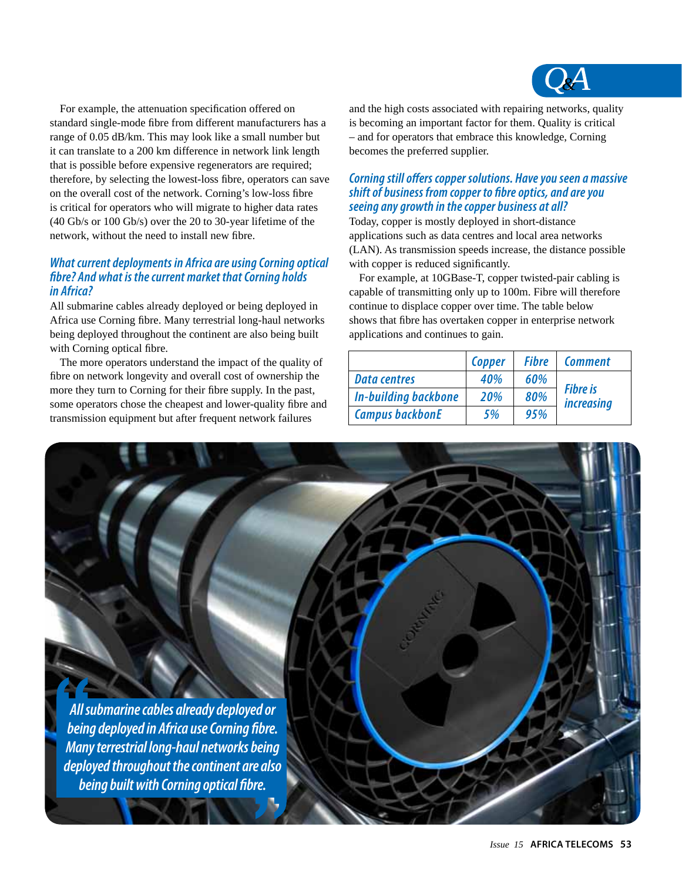

For example, the attenuation specification offered on standard single-mode fibre from different manufacturers has a range of 0.05 dB/km. This may look like a small number but it can translate to a 200 km difference in network link length that is possible before expensive regenerators are required; therefore, by selecting the lowest-loss fibre, operators can save on the overall cost of the network. Corning's low-loss fibre is critical for operators who will migrate to higher data rates (40 Gb/s or 100 Gb/s) over the 20 to 30-year lifetime of the network, without the need to install new fibre.

## *What current deployments in Africa are using Corning optical fibre? And what is the current market that Corning holds in Africa?*

All submarine cables already deployed or being deployed in Africa use Corning fibre. Many terrestrial long-haul networks being deployed throughout the continent are also being built with Corning optical fibre.

The more operators understand the impact of the quality of fibre on network longevity and overall cost of ownership the more they turn to Corning for their fibre supply. In the past, some operators chose the cheapest and lower-quality fibre and transmission equipment but after frequent network failures

and the high costs associated with repairing networks, quality is becoming an important factor for them. Quality is critical – and for operators that embrace this knowledge, Corning becomes the preferred supplier.

# *Corning still offers copper solutions. Have you seen a massive shift of business from copper to fibre optics, and are you seeing any growth in the copper business at all?*

Today, copper is mostly deployed in short-distance applications such as data centres and local area networks (LAN). As transmission speeds increase, the distance possible with copper is reduced significantly.

For example, at 10GBase-T, copper twisted-pair cabling is capable of transmitting only up to 100m. Fibre will therefore continue to displace copper over time. The table below shows that fibre has overtaken copper in enterprise network applications and continues to gain.

|                             | Copper     | <b>Fibre</b> | <b>Comment</b>                       |
|-----------------------------|------------|--------------|--------------------------------------|
| <b>Data centres</b>         | 40%        | 60%          | <b>Fibre is</b><br><i>increasing</i> |
| <b>In-building backbone</b> | <b>20%</b> | 80%          |                                      |
| <b>Campus backbonE</b>      | 5%         | 95%          |                                      |

*All submarine cables already deployed or being deployed in Africa use Corning fibre. Many terrestrial long-haul networks being deployed throughout the continent are also being built with Corning optical fibre.*